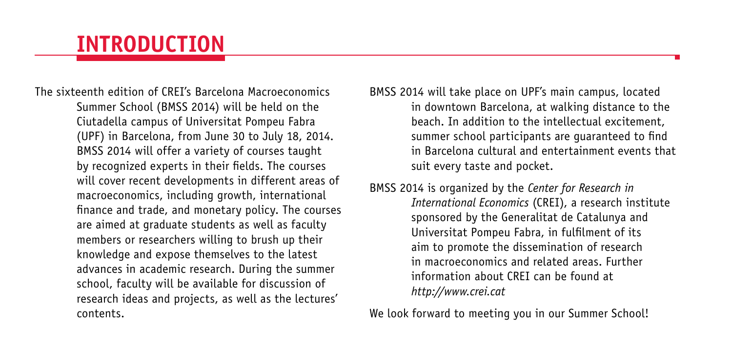# **INTRODUCTION**

The sixteenth edition of CREI's Barcelona Macroeconomics Summer School (BMSS 2014) will be held on the Ciutadella campus of Universitat Pompeu Fabra (UPF) in Barcelona, from June 30 to July 18, 2014. BMSS 2014 will offer a variety of courses taught by recognized experts in their fields. The courses will cover recent developments in different areas of macroeconomics, including growth, international finance and trade, and monetary policy. The courses are aimed at graduate students as well as faculty members or researchers willing to brush up their knowledge and expose themselves to the latest advances in academic research. During the summer school, faculty will be available for discussion of research ideas and projects, as well as the lectures' contents.

BMSS 2014 will take place on UPF's main campus, located in downtown Barcelona, at walking distance to the beach. In addition to the intellectual excitement, summer school participants are guaranteed to find in Barcelona cultural and entertainment events that suit every taste and pocket.

BMSS 2014 is organized by the *Center for Research in International Economics* (CREI), a research institute sponsored by the Generalitat de Catalunya and Universitat Pompeu Fabra, in fulfilment of its aim to promote the dissemination of research in macroeconomics and related areas. Further information about CREI can be found at *http://www.crei.cat*

We look forward to meeting you in our Summer School!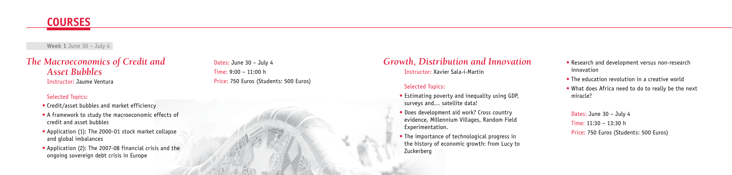## *The Macroeconomics of Credit and Asset Bubbles* Instructor: Jaume Ventura

## Selected Topics:

- Credit/asset bubbles and market efficiency
- A framework to study the macroeconomic effects of credit and asset bubbles
- Application (1): The 2000-01 stock market collapse and global imbalances
- Application (2): The 2007-08 financial crisis and the ongoing sovereign debt crisis in Europe

**Week 1** June 30 – July 4



# *Growth, Distribution and Innovation* Instructor: Xavier Sala-i-Martin

## Selected Topics:

- Research and development versus non-research innovation
- The education revolution in a creative world
- What does Africa need to do to really be the next miracle?
- Estimating poverty and inequality using GDP, surveys and… satellite data!
- Does development aid work? Cross country evidence, Millennium Villages, Random Field Experimentation.
- The importance of technological progress in the history of economic growth: from Lucy to Zuckerberg

Dates: June 30 – July 4 Time: 9:00 – 11:00 h Price: 750 Euros (Students: 500 Euros)

> Dates: June 30 – July 4 Time: 11:30 – 13:30 h Price: 750 Euros (Students: 500 Euros)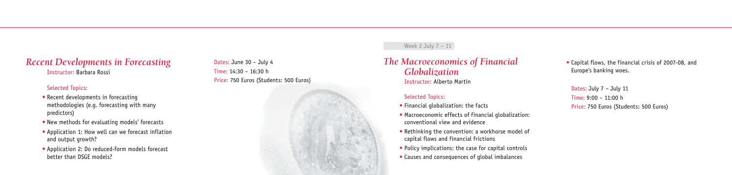# *Recent Developments in Forecasting*

Instructor: Barbara Rossi

## Selected Topics:

- Recent developments in forecasting methodologies (e.g. forecasting with many predictors)
- New methods for evaluating models' forecasts
- Application 1: How well can we forecast inflation and output growth?
- Application 2: Do reduced-form models forecast better than DSGE models?

Dates: June 30 – July 4 Time: 14:30 – 16:30 h Price: 750 Euros (Students: 500 Euros)

## Week 2 July 7 - 11

# *The Macroeconomics of Financial Globalization*

Instructor: Alberto Martín

## Selected Topics:

- Financial globalization: the facts
- Macroeconomic effects of financial globalization: conventional view and evidence
- Rethinking the convention: a workhorse model of capital flows and financial frictions
- Policy implications: the case for capital controls
- Causes and consequences of global imbalances

• Capital flows, the financial crisis of 2007-08, and Europe's banking woes.

Dates: July 7 – July 11 Time: 9:00 – 11:00 h Price: 750 Euros (Students: 500 Euros)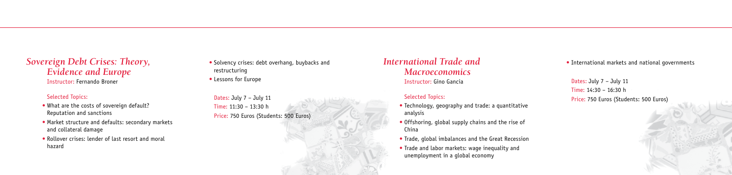*Sovereign Debt Crises: Theory, Evidence and Europe* Instructor: Fernando Broner

#### Selected Topics:

- What are the costs of sovereign default? Reputation and sanctions
- Market structure and defaults: secondary markets and collateral damage
- Rollover crises: lender of last resort and moral hazard

*International Trade and Macroeconomics* Instructor: Gino Gancia

## Selected Topics:

- Technology, geography and trade: a quantitative analysis
- Offshoring, global supply chains and the rise of China
- Trade, global imbalances and the Great Recession
- Trade and labor markets: wage inequality and unemployment in a global economy
- Solvency crises: debt overhang, buybacks and restructuring
- Lessons for Europe

Dates: July 7 – July 11 Time: 11:30 – 13:30 h Price: 750 Euros (Students: 500 Euros) • International markets and national governments

Dates: July 7 – July 11 Time: 14:30 – 16:30 h Price: 750 Euros (Students: 500 Euros)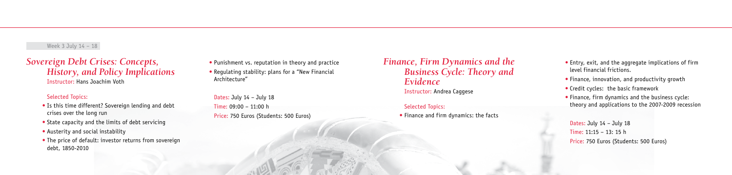# *Sovereign Debt Crises: Concepts, History, and Policy Implications* Instructor: Hans Joachim Voth

#### Selected Topics:

- Is this time different? Sovereign lending and debt crises over the long run
- State capacity and the limits of debt servicing
- Austerity and social instability
- The price of default: investor returns from sovereign debt, 1850-2010

*Finance, Firm Dynamics and the Business Cycle: Theory and Evidence*  Instructor: Andrea Caggese

#### Selected Topics:

• Finance and firm dynamics: the facts

• Punishment vs. reputation in theory and practice

• Regulating stability: plans for a "New Financial Architecture"

Dates: July 14 – July 18 Time: 09:00 – 11:00 h Price: 750 Euros (Students: 500 Euros)

- Entry, exit, and the aggregate implications of firm level financial frictions.
- Finance, innovation, and productivity growth
- Credit cycles: the basic framework
- Finance, firm dynamics and the business cycle: theory and applications to the 2007-2009 recession

```
Dates: July 14 – July 18
Time: 11:15 – 13: 15 h 
Price: 750 Euros (Students: 500 Euros)
```
## Week 3 July 14 – 18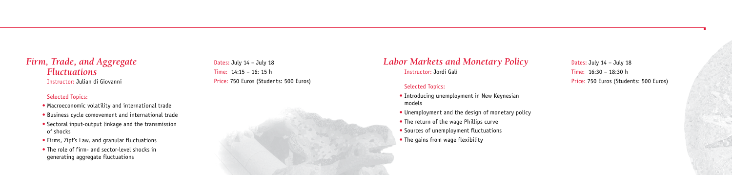# *Firm, Trade, and Aggregate Fluctuations*

Instructor: Julian di Giovanni

## Selected Topics:

- Macroeconomic volatility and international trade
- Business cycle comovement and international trade
- Sectoral input-output linkage and the transmission of shocks
- Firms, Zipf's Law, and granular fluctuations
- The role of firm- and sector-level shocks in generating aggregate fluctuations

Dates: July 14 – July 18 Time: 14:15 – 16: 15 h Price: 750 Euros (Students: 500 Euros)

# *Labor Markets and Monetary Policy* Instructor: Jordi Galí

## Selected Topics:

- Introducing unemployment in New Keynesian models
- Unemployment and the design of monetary policy
- The return of the wage Phillips curve
- Sources of unemployment fluctuations
- The gains from wage flexibility

Dates: July 14 – July 18 Time: 16:30 – 18:30 h Price: 750 Euros (Students: 500 Euros)

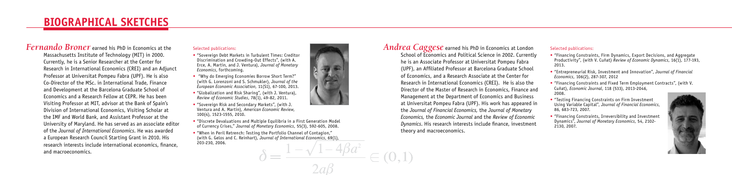# *Fernando Broner* earned his PhD in Economics at the

Massachusetts Institute of Technology (MIT) in 2000. Currently, he is a Senior Researcher at the Center for Research in International Economics (CREI) and an Adjunct Professor at Universitat Pompeu Fabra (UPF). He is also Co-Director of the MSc. in International Trade, Finance and Development at the Barcelona Graduate School of Economics and a Research Fellow at CEPR. He has been Visiting Professor at MIT, advisor at the Bank of Spain's Division of International Economics, Visiting Scholar at the IMF and World Bank, and Assistant Professor at the University of Maryland. He has served as an associate editor of the *Journal of International Economics*. He was awarded a European Research Council Starting Grant in 2010. His research interests include international economics, finance, and macroeconomics.

#### Selected publications:

- "Sovereign Debt Markets in Turbulent Times: Creditor Discrimination and Crowding-Out Effects", (with A. Erce, A. Martin, and J. Ventura), *Journal of Monetary Economics*, forthcoming.
- "Why do Emerging Economies Borrow Short Term?" (with G. Lorenzoni and S. Schmukler), *Journal of the European Economic Association*, 11(S1), 67-100, 2013.
- "Globalization and Risk Sharing", (with J. Ventura), *Review of Economic Studies*, 78(1), 49-82, 2011.
- "Sovereign Risk and Secondary Markets", (with J. Ventura and A. Martin), *American Economic Review*, 100(4), 1523-1555, 2010.
- "Discrete Devaluations and Multiple Equilibria in a First Generation Model of Currency Crises," *Journal of Monetary Economics*, 55(3), 592-605, 2008.
- "When in Peril Retrench: Testing the Portfolio Channel of Contagion," (with G. Gelos and C. Reinhart), *Journal of International Economics*, 69(1), 203-230, 2006.



*Andrea Caggese* earned his PhD in Economics at London School of Economics and Political Science in 2002. Currently he is an Associate Professor at Universitat Pompeu Fabra (UPF), an Affiliated Professor at Barcelona Graduate School of Economics, and a Research Associate at the Center for Research in International Economics (CREI). He is also the Director of the Master of Research in Economics, Finance and Management at the Department of Economics and Business at Universitat Pompeu Fabra (UPF). His work has appeared in the *Journal of Financial Economics,* the *Journal of Monetary Economics,* the *Economic Journal* and the *Review of Economic Dynamics*. His research interests include finance, investment theory and macroeconomics.

 $\in (0,1]$ 

#### Selected publications:

- "Financing Constraints, Firm Dynamics, Export Decisions, and Aggregate Productivity", (with V. Cuñat) *Review of Economic Dynamics*, 16(1), 177-193, 2013.
- "Entrepreneurial Risk, Investment and Innovation", *Journal of Financial Economics*, 106(2), 287-307, 2012
- "Financing Constraints and Fixed Term Employment Contracts", (with V. Cuñat), *Economic Journal*, 118 (533), 2013-2046, 2008.
- "Testing Financing Constraints on Firm Investment Using Variable Capital", *Journal of Financial Economics*, 86, 683-723, 2007.
- "Financing Constraints, Irreversibility and Investment Dynamics", *Journal of Monetary Economics*, 54, 2102- 2130, 2007.

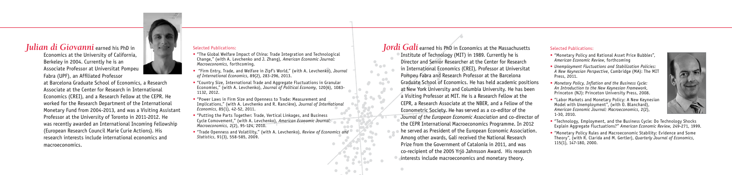# *Julian di Giovanni* earned his PhD in

Economics at the University of California, Berkeley in 2004. Currently he is an Associate Professor at Universitat Pompeu Fabra (UPF), an Affiliated Professor

at Barcelona Graduate School of Economics, a Research Associate at the Center for Research in International Economics (CREI), and a Research Fellow at the CEPR. He worked for the Research Department of the International Monetary Fund from 2004-2013, and was a Visiting Assistant Professor at the University of Toronto in 2011-2012. He was recently awarded an International Incoming Fellowship (European Research Council Marie Curie Actions). His research interests include international economics and macroeconomics.

#### Selected Publications:

- "The Global Welfare Impact of China: Trade Integration and Technological Change," (with A. Levchenko and J. Zhang), *American Economic Journal: Macroeconomics,* forthcoming.
- "Firm Entry, Trade, and Welfare in Zipf's World," (with A. Levchenko), *Journal of International Economics*, 89(2), 283-296, 2013.
- "Country Size, International Trade and Aggregate Fluctuations in Granular Economies," (with A. Levchenko), *Journal of Political Economy*, 120(6), 1083- 1132, 2012.
- "Power Laws in Firm Size and Openness to Trade: Measurement and Implications," (with A. Levchenko and R. Rancière), *Journal of International Economics*, 85(1), 42-52, 2011.
- "Putting the Parts Together: Trade, Vertical Linkages, and Business Cycle Comovement," (with A. Levchenko), *American Economic Journal: Macroeconomics,* 2(2), 95-124, 2010.
- "Trade Openness and Volatility," (with A. Levchenko), *Review of Economics and Statistics*, 91(3), 558-585, 2009.

*Jordi Galí* earned his PhD in Economics at the Massachusetts Institute of Technology (MIT) in 1989. Currently he is Director and Senior Researcher at the Center for Research in International Economics (CREI), Professor at Universitat Pompeu Fabra and Research Professor at the Barcelona Graduate School of Economics. He has held academic positions at New York University and Columbia University. He has been a Visiting Professor at MIT. He is a Research Fellow at the CEPR, a Research Associate at the NBER, and a Fellow of the Econometric Society. He has served as a co-editor of the *Journal of the European Economic Association* and co-director of the CEPR International Macroeconomics Programme. In 2012 he served as President of the European Economic Association. Among other awards, Galí received the National Research Prize from the Government of Catalonia in 2011, and was co-recipient of the 2005 Yrjö Jahnsson Award. His research Interests include macroeconomics and monetary theory.

 $\bullet$  and  $\bullet$ 

#### Selected Publications:

• "Monetary Policy and Rational Asset Price Bubbles", *American Economic Review*, forthcoming

• *Unemployment Fluctuations and Stabilization Policies: A New Keynesian Perspective*, Cambridge (MA): The MIT Press, 2011.

• *Monetary Policy, Inflation and the Business Cycle: An Introduction to the New Keynesian Framework*, Princeton (NJ): Princeton University Press, 2008.

• "Labor Markets and Monetary Policy: A New Keynesian Model with Unemployment", (with O. Blanchard), *American Economic Journal: Macroeconomics*, 2(2), 1-30, 2010.



• "Technology, Employment, and the Business Cycle: Do Technology Shocks Explain Aggregate Fluctuations?" *American Economic Review*, 249-271, 1999.

• "Monetary Policy Rules and Macroeconomic Stability: Evidence and Some Theory", (with R. Clarida and M. Gertler), *Quarterly Journal of Economics*, 115(1), 147-180, 2000.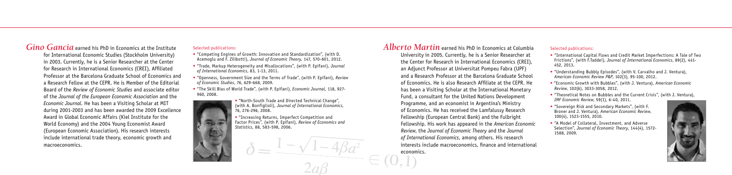*Alberto Martin* earned his PhD in Economics at Columbia University in 2005. Currently, he is a Senior Researcher at the Center for Research in International Economics (CREI), an Adjunct Professor at Universitat Pompeu Fabra (UPF) and a Research Professor at the Barcelona Graduate School of Economics. He is also Research Affiliate at the CEPR. He has been a Visiting Scholar at the International Monetary Fund, a consultant for the United Nations Development Programme, and an economist in Argentina's Ministry of Economics. He has received the Lamfalussy Research Fellowship (European Central Bank) and the Fulbright Fellowship. His work has appeared in the *American Economic Review*, the *Journal of Economic Theory* and the *Journal of International Economics*, among others. His research interests include macroeconomics, finance and international

economics.

#### Selected publications:

- "International Capital Flows and Credit Market Imperfections: A Tale of Two Frictions", (with F.Taddei), *Journal of International Economics*, 89(2), 441- 452, 2013.
- "Understanding Bubbly Episodes", (with V. Carvalho and J. Ventura), *American Economic Review P&P*, 102(3), 95-100, 2012.
- "Economic Growth with Bubbles", (with J. Ventura), *American Economic Review*, 102(6), 3033-3058, 2012.
- "Theoretical Notes on Bubbles and the Current Crisis", (with J. Ventura), *IMF Economic Review*, 59(1), 6-40, 2011.
- "Sovereign Risk and Secondary Markets", (with F. Broner and J. Ventura), *American Economic Review*, 100(4), 1523-1555, 2010.
- "A Model of Collateral, Investment, and Adverse Selection", *Journal of Economic Theory*, 144(4), 1572- 1588, 2009.



## *Gino Gancia* earned his PhD in Economics at the Institute

for International Economic Studies (Stockholm University) in 2003. Currently, he is a Senior Researcher at the Center for Research in International Economics (CREI), Affiliated Professor at the Barcelona Graduate School of Economics and a Research Fellow at the CEPR. He is Member of the Editorial Board of the *Review of Economic Studies* and associate editor of the *Journal of the European Economic Association* and the *Economic Journal*. He has been a Visiting Scholar at MIT during 2001-2003 and has been awarded the 2009 Excellence Award in Global Economic Affairs (Kiel Institute for the World Economy) and the 2004 Young Economist Award (European Economic Association). His research interests include international trade theory, economic growth and macroeconomics.

#### Selected publications:

- "Competing Engines of Growth: Innovation and Standardization", (with D. Acemoglu and F. Zilibotti), *Journal of Economic Theory*, 147, 570-601, 2012.
- "Trade, Markup Heterogeneity and Misallocations", (with P. Epifani), *Journal of International Economics*, 83, 1-13, 2011.
- "Openness, Government Size and the Terms of Trade", (with P. Epifani), *Review of Economic Studies*, 76, 629-668, 2009.
- "The Skill Bias of World Trade", (with P. Epifani), *Economic Journal*, 118, 927- 960, 2008.



• "North-South Trade and Directed Technical Change", (with A. Bonfiglioli), *Journal of International Economics*, 76, 276-296, 2008.

• "Increasing Returns, Imperfect Competition and Factor Prices", (with P. Epifani), *Review of Economics and Statistics*, 88, 583-598, 2006.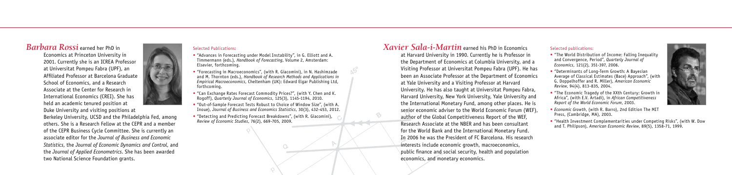## *Barbara Rossi* earned her PhD in

Economics at Princeton University in 2001. Currently she is an ICREA Professor at Universitat Pompeu Fabra (UPF), an Affiliated Professor at Barcelona Graduate School of Economics, and a Research Associate at the Center for Research in International Economics (CREI). She has held an academic tenured position at

Duke University and visiting positions at Berkeley University, UCSD and the Philadelphia Fed, among others. She is a Research Fellow at the CEPR and a member of the CEPR Business Cycle Committee. She is currently an associate editor for the *Journal of Business and Economic Statistics*, the *Journal of Economic Dynamics and Control*, and the *Journal of Applied Econometrics*. She has been awarded two National Science Foundation grants.

#### Selected Publications:

- "Advances in Forecasting under Model Instability", in G. Elliott and A. Timmermann (eds.), *Handbook of Forecasting*, Volume 2, Amsterdam: Elsevier, forthcoming.
- "Forecasting in Macroeconomics", (with R. Giacomini), in N. Hashimzade and M. Thornton (eds.), *Handbook of Research Methods and Applications in Empirical Macroeconomics*, Cheltenham (UK): Edward Elgar Publishing Ltd, forthcoming.
- "Can Exchange Rates Forecast Commodity Prices?", (with Y. Chen and K. Rogoff), *Quarterly Journal of Economics*, 125(3), 1145-1194, 2010.
- "Out-of-Sample Forecast Tests Robust to Choice of Window Size", (with A. Inoue), *Journal of Business and Economics Statistics*, 30(3), 432-453, 2012.

 $\bigcirc$ .

• "Detecting and Predicting Forecast Breakdowns", (with R. Giacomini), *Review of Economic Studies*, 76(2), 669-705, 2009.

## *Xavier Sala-i-Martin* earned his PhD in Economics

at Harvard University in 1990. Currently he is Professor in the Department of Economics at Columbia University, and a Visiting Professor at Universitat Pompeu Fabra (UPF). He has been an Associate Professor at the Department of Economics at Yale University and a Visiting Professor at Harvard University. He has also taught at Universitat Pompeu Fabra, Harvard University, New York University, Yale University and the International Monetary Fund, among other places. He is senior economic adviser to the World Economic Forum (WEF), author of the Global Competitiveness Report of the WEF, Research Associate at the NBER and has been consultant for the World Bank and the International Monetary Fund. In 2006 he was the President of FC Barcelona. His research interests include economic growth, macroeconomics, public finance and social security, health and population economics, and monetary economics.

#### Selected publications:

- "The World Distribution of Income: Falling Inequality and Convergence, Period", *Quarterly Journal of Economics*, 121(2), 351-397, 2006.
- "Determinants of Long-Term Growth: A Bayesian Average of Classical Estimates (Bace) Approach", (with G. Doppelhoffer and R. Miller), *American Economic Review*, 94(4), 813-835, 2004.
- "The Economic Tragedy of the XXth Century: Growth in Africa", (with E.V. Artadi), in *African Competitiveness Report of the World Economic Forum*, 2003.
- *Economic Growth*, (with R. Barro), 2nd Edition The MIT Press, (Cambridge, MA), 2003.



• "Health Investment Complementarities under Competing Risks", (with W. Dow and T. Philipson), *American Economic Review*, 89(5), 1358-71, 1999.